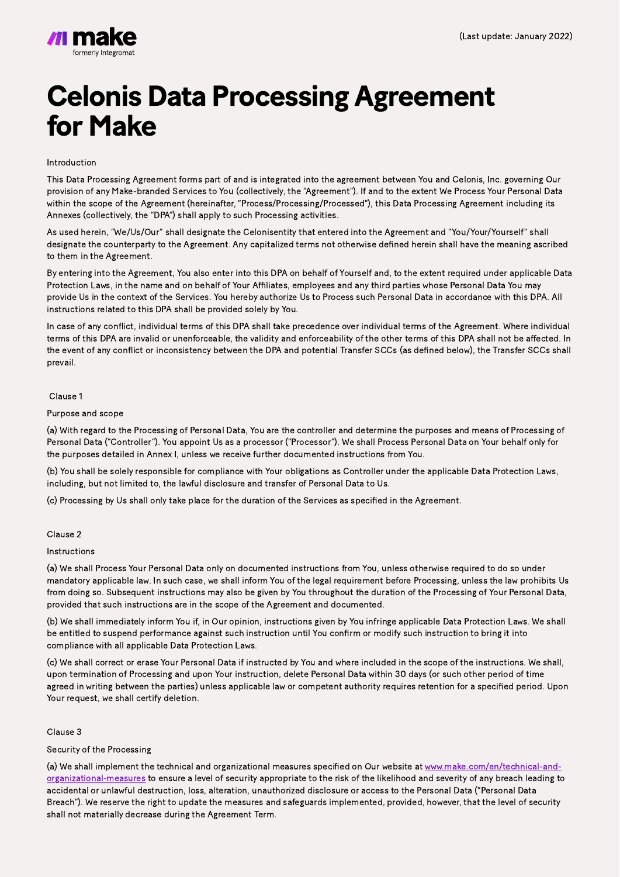# **Celonis Data Processing Agreement** for Make

Introduction

This Data Processing Agreement forms part of and is integrated into the agreement between You and Celonis, Inc. governing Our provision of any Make-branded Services to You (collectively, the "Agreement"). If and to the extent We Process Your Personal Data within the scope of the Agreement (hereinafter, "Process/Processing/Processed"), this Data Processing Agreement including its Annexes (collectively, the "DPA") shall apply to such Processing activities.

As used herein, "We/Us/Our" shall designate the Celonisentity that entered into the Agreement and "You/Your/Yourself" shall designate the counterparty to the Agreement. Any capitalized terms not otherwise defined herein shall have the meaning ascribed to them in the Agreement.

By entering into the Agreement, You also enter into this DPA on behalf of Yourself and, to the extent required under applicable Data Protection Laws, in the name and on behalf of Your Affiliates, employees and any third parties whose Personal Data You may provide Us in the context of the Services. You hereby authorize Us to Process such Personal Data in accordance with this DPA. All instructions related to this DPA shall be provided solely by You.

In case of any conflict, individual terms of this DPA shall take precedence over individual terms of the Agreement. Where individual terms of this DPA are invalid or unenforceable, the validity and enforceability of the other terms of this DPA shall not be affected. In the event of any conflict or inconsistency between the DPA and potential Transfer SCCs (as defined below), the Transfer SCCs shall prevail.

(c) We shall correct or erase Your Personal Data if instructed by You and where included in the scope of the instructions. We shall, upon termination of Processing and upon Your instruction, delete Personal Data within 30 days (or such other period of time agreed in writing between the parties) unless applicable law or competent authority requires retention for a specified period. Upon Your request, we shall certify deletion.

Clause 1

Purpose and scope

(a) With regard to the Processing of Personal Data, You are the controller and determine the purposes and means of Processing of Personal Data ("Controller"). You appoint Us as a processor ("Processor"). We shall Process Personal Data on Your behalf only for

the purposes detailed in Annex I, unless we receive further documented instructions from You.

(a) We shall implement the technical and organizational measures specified on Our website at [www.make.com/en/technical-and](https://www.make.com/en/technical-and-organizational-measures.pdf)[organizational-measures](https://www.make.com/en/technical-and-organizational-measures.pdf) to ensure a level of security appropriate to the risk of the likelihood and severity of any breach leading to accidental or unlawful destruction, loss, alteration, unauthorized disclosure or access to the Personal Data ("Personal Data Breach"). We reserve the right to update the measures and safeguards implemented, provided, however, that the level of security shall not materially decrease during the Agreement Term.

(b) You shall be solely responsible for compliance with Your obligations as Controller under the applicable Data Protection Laws, including, but not limited to, the lawful disclosure and transfer of Personal Data to Us.

(c) Processing by Us shall only take place for the duration of the Services as specified in the Agreement.

#### Clause 2

# Instructions

(a) We shall Process Your Personal Data only on documented instructions from You, unless otherwise required to do so under mandatory applicable law. In such case, we shall inform You of the legal requirement before Processing, unless the law prohibits Us from doing so. Subsequent instructions may also be given by You throughout the duration of the Processing of Your Personal Data, provided that such instructions are in the scope of the Agreement and documented.

(b) We shall immediately inform You if, in Our opinion, instructions given by You infringe applicable Data Protection Laws. We shall be entitled to suspend performance against such instruction until You confirm or modify such instruction to bring it into compliance with all applicable Data Protection Laws.

#### Clause 3

# Security of the Processing

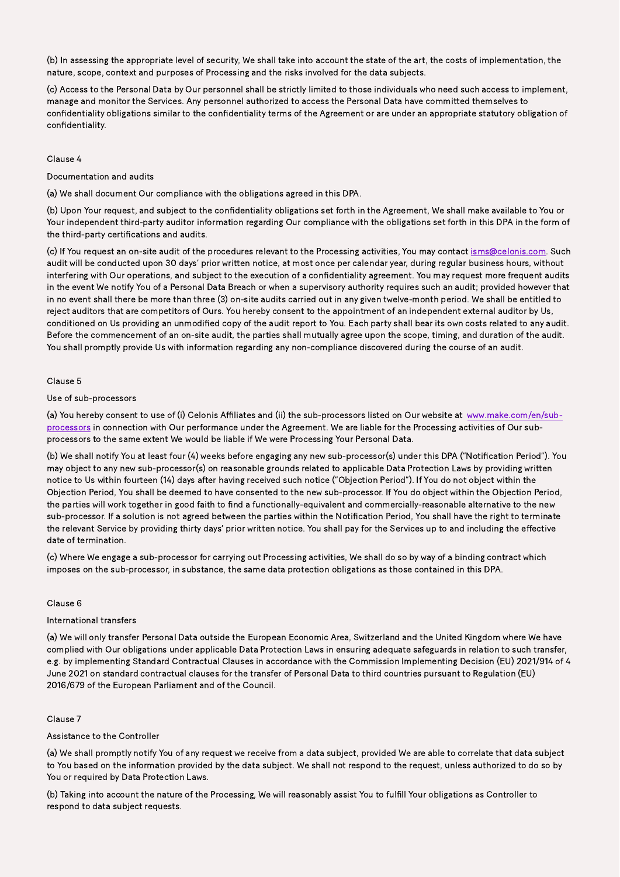(b) In assessing the appropriate level of security, We shall take into account the state of the art, the costs of implementation, the nature, scope, context and purposes of Processing and the risks involved for the data subjects.

(c) Access to the Personal Data by Our personnel shall be strictly limited to those individuals who need such access to implement, manage and monitor the Services. Any personnel authorized to access the Personal Data have committed themselves to confidentiality obligations similar to the confidentiality terms of the Agreement or are under an appropriate statutory obligation of confidentiality.

# Clause 4

Documentation and audits

(a) We shall document Our compliance with the obligations agreed in this DPA.

(b) Upon Your request, and subject to the confidentiality obligations set forth in the Agreement, We shall make available to You or Your independent third-party auditor information regarding Our compliance with the obligations set forth in this DPA in the form of the third-party certifications and audits.

(c) If You request an on-site audit of the procedures relevant to the Processing activities, You may contact isms@celonis.com. Such audit will be conducted upon 30 days' prior written notice, at most once per calendar year, during regular business hours, without interfering with Our operations, and subject to the execution of a confidentiality agreement. You may request more frequent audits in the event We notify You of a Personal Data Breach or when a supervisory authority requires such an audit; provided however that in no event shall there be more than three (3) on-site audits carried out in any given twelve-month period. We shall be entitled to reject auditors that are competitors of Ours. You hereby consent to the appointment of an independent external auditor by Us, conditioned on Us providing an unmodified copy of the audit report to You. Each party shall bear its own costs related to any audit. Before the commencement of an on-site audit, the parties shall mutually agree upon the scope, timing, and duration of the audit. You shall promptly provide Us with information regarding any non-compliance discovered during the course of an audit.

(a) You hereby consent to use of (i) Celonis Affiliates and (ii) the sub-processors listed on Our website at [www.make.com/en/sub](https://www.make.com/en/sub-processors.pdf)[processors](https://www.make.com/en/sub-processors.pdf) in connection with Our performance under the Agreement. We are liable for the Processing activities of Our subprocessors to the same extent We would be liable if We were Processing Your Personal Data.

# Clause 5

# Use of sub-processors

(b) We shall notify You at least four (4) weeks before engaging any new sub-processor(s) under this DPA ("Notification Period"). You may object to any new sub-processor(s) on reasonable grounds related to applicable Data Protection Laws by providing written notice to Us within fourteen (14) days after having received such notice ("Objection Period"). If You do not object within the Objection Period, You shall be deemed to have consented to the new sub-processor. If You do object within the Objection Period, the parties will work together in good faith to find a functionally-equivalent and commercially-reasonable alternative to the new sub-processor. If a solution is not agreed between the parties within the Notification Period, You shall have the right to terminate the relevant Service by providing thirty days' prior written notice. You shall pay for the Services up to and including the effective date of termination.

(c) Where We engage a sub-processor for carrying out Processing activities, We shall do so by way of a binding contract which imposes on the sub-processor, in substance, the same data protection obligations as those contained in this DPA.

# Clause 6

# International transfers

(a) We will only transfer Personal Data outside the European Economic Area, Switzerland and the United Kingdom where We have complied with Our obligations under applicable Data Protection Laws in ensuring adequate safeguards in relation to such transfer, e.g. by implementing Standard Contractual Clauses in accordance with the Commission Implementing Decision (EU) 2021/914 of 4 June 2021 on standard contractual clauses for the transfer of Personal Data to third countries pursuant to Regulation (EU) 2016/679 of the European Parliament and of the Council.

# Clause 7

# Assistance to the Controller

(a) We shall promptly notify You of any request we receive from a data subject, provided We are able to correlate that data subject to You based on the information provided by the data subject. We shall not respond to the request, unless authorized to do so by You or required by Data Protection Laws.

(b) Taking into account the nature of the Processing, We will reasonably assist You to fulfill Your obligations as Controller to respond to data subject requests.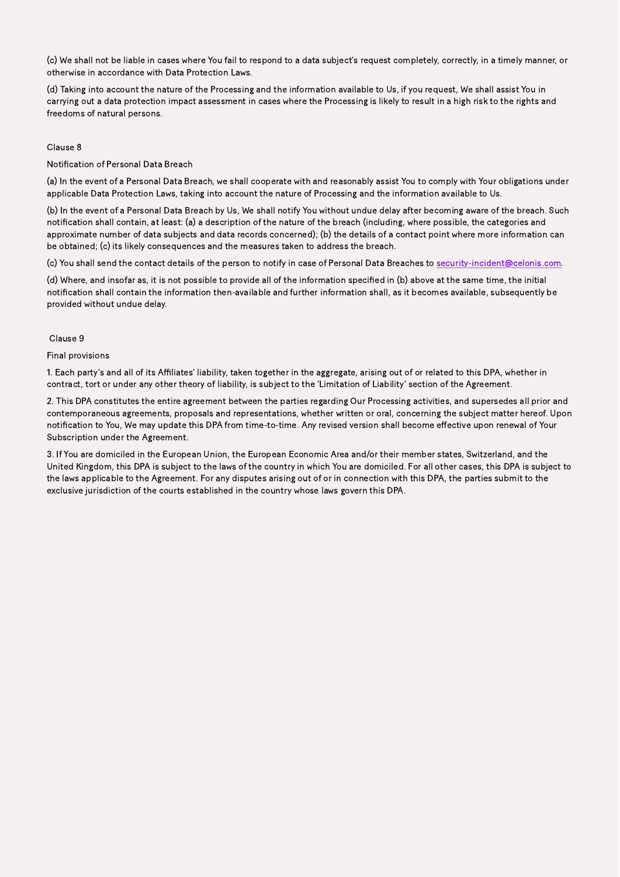(c) We shall not be liable in cases where You fail to respond to a data subject's request completely, correctly, in a timely manner, or otherwise in accordance with Data Protection Laws.

(d) Taking into account the nature of the Processing and the information available to Us, if you request, We shall assist You in carrying out a data protection impact assessment in cases where the Processing is likely to result in a high risk to the rights and freedoms of natural persons.

# Clause 8

Notification of Personal Data Breach

(a) In the event of a Personal Data Breach, we shall cooperate with and reasonably assist You to comply with Your obligations under applicable Data Protection Laws, taking into account the nature of Processing and the information available to Us.

(b) In the event of a Personal Data Breach by Us, We shall notify You without undue delay after becoming aware of the breach. Such notification shall contain, at least: (a) a description of the nature of the breach (including, where possible, the categories and approximate number of data subjects and data records concerned); (b) the details of a contact point where more information can be obtained; (c) its likely consequences and the measures taken to address the breach.

(c) You shall send the contact details of the person to notify in case of Personal Data Breaches to security-incident@celonis.com.

(d) Where, and insofar as, it is not possible to provide all of the information specified in (b) above at the same time, the initial notification shall contain the information then-available and further information shall, as it becomes available, subsequently be provided without undue delay.

#### Clause 9

# Final provisions

1. Each party's and all of its Affiliates' liability, taken together in the aggregate, arising out of or related to this DPA, whether in contract, tort or under any other theory of liability, is subject to the 'Limitation of Liability' section of the Agreement.

2. This DPA constitutes the entire agreement between the parties regarding Our Processing activities, and supersedes all prior and contemporaneous agreements, proposals and representations, whether written or oral, concerning the subject matter hereof. Upon notification to You, We may update this DPA from time-to-time. Any revised version shall become effective upon renewal of Your Subscription under the Agreement.

3. If You are domiciled in the European Union, the European Economic Area and/or their member states, Switzerland, and the United Kingdom, this DPA is subject to the laws of the country in which You are domiciled. For all other cases, this DPA is subject to the laws applicable to the Agreement. For any disputes arising out of or in connection with this DPA, the parties submit to the exclusive jurisdiction of the courts established in the country whose laws govern this DPA.